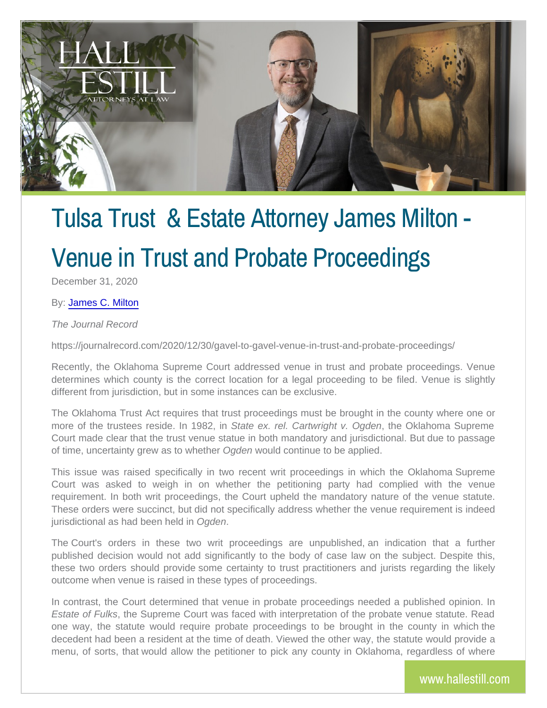# Tulsa Trust & Estate Attorney

# Venue in Trust and Probate

December 31, 2020

#### By[: James C.](http://www.hallestill.com/our-team/james-c-milton) Milton

The Journal Record

https://journalrecord.com/2020/12/30/gavel-to-gavel-venue-in-trust-and-

Recently, the Oklahoma Supreme Court addressed venue in trust an determines which county is the correct location for a legal proceed different from jurisdiction, but in some instances can be exclusive.

The Oklahoma Trust Act requires that trust proceedings must be brought more of the trustees resi $Stan$ teelnext.  $982$ . in  $\alpha$  artwright ev. O. I  $\alpha$  and  $\alpha$  Suprem Court made clear that the trust venue statue in both mandatory and ju of time, uncertainty grew Ogsdetwoow hde to boantinue to be applied.

This issue was raised specifically in two recent writ proceedings Court was asked to weigh in on whether the petitioning party requirement. In both writ proceedings, the Court upheld the mandat These orders were succinct, but did not specifically address whether jurisdictional as had **Ogeeenheld** in

The Court's orders in these two writ proceedings are unpublish published decision would not add significantly to the body of case these two orders should provide some certainty to trust practitioner outcome when venue is raised in these types of proceedings.

In contrast, the Court determined that venue in probate proceedings Estate of, Fuhl & sSupreme Court was faced with interpretation of the pr one way, the statute would require probate proceedings to be bro decedent had been a resident at the time of death. Viewed the other menu, of sorts, that would allow the petitioner to pick any countly i

www.halles